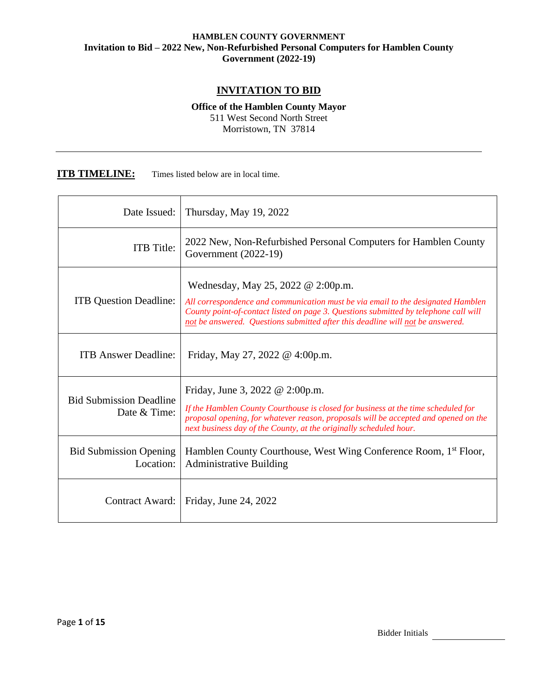## **INVITATION TO BID**

**Office of the Hamblen County Mayor** 511 West Second North Street Morristown, TN 37814

### **ITB TIMELINE:** Times listed below are in local time.

| Date Issued:                                   | Thursday, May 19, 2022                                                                                                                                                                                                                                                                           |
|------------------------------------------------|--------------------------------------------------------------------------------------------------------------------------------------------------------------------------------------------------------------------------------------------------------------------------------------------------|
| <b>ITB</b> Title:                              | 2022 New, Non-Refurbished Personal Computers for Hamblen County<br>Government $(2022-19)$                                                                                                                                                                                                        |
| <b>ITB</b> Question Deadline:                  | Wednesday, May 25, 2022 @ 2:00p.m.<br>All correspondence and communication must be via email to the designated Hamblen<br>County point-of-contact listed on page 3. Questions submitted by telephone call will<br>not be answered. Questions submitted after this deadline will not be answered. |
| <b>ITB Answer Deadline:</b>                    | Friday, May 27, 2022 @ 4:00p.m.                                                                                                                                                                                                                                                                  |
| <b>Bid Submission Deadline</b><br>Date & Time: | Friday, June 3, 2022 @ 2:00p.m.<br>If the Hamblen County Courthouse is closed for business at the time scheduled for<br>proposal opening, for whatever reason, proposals will be accepted and opened on the<br>next business day of the County, at the originally scheduled hour.                |
| <b>Bid Submission Opening</b><br>Location:     | Hamblen County Courthouse, West Wing Conference Room, 1 <sup>st</sup> Floor,<br><b>Administrative Building</b>                                                                                                                                                                                   |
| Contract Award:                                | Friday, June 24, 2022                                                                                                                                                                                                                                                                            |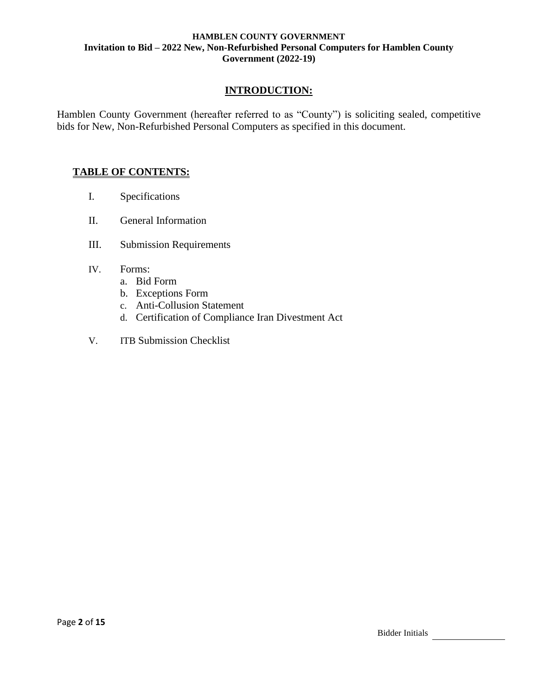## **INTRODUCTION:**

Hamblen County Government (hereafter referred to as "County") is soliciting sealed, competitive bids for New, Non-Refurbished Personal Computers as specified in this document.

## **TABLE OF CONTENTS:**

- I. Specifications
- II. General Information
- III. Submission Requirements
- IV. Forms:
	- a. Bid Form
	- b. Exceptions Form
	- c. Anti-Collusion Statement
	- d. Certification of Compliance Iran Divestment Act
- V. ITB Submission Checklist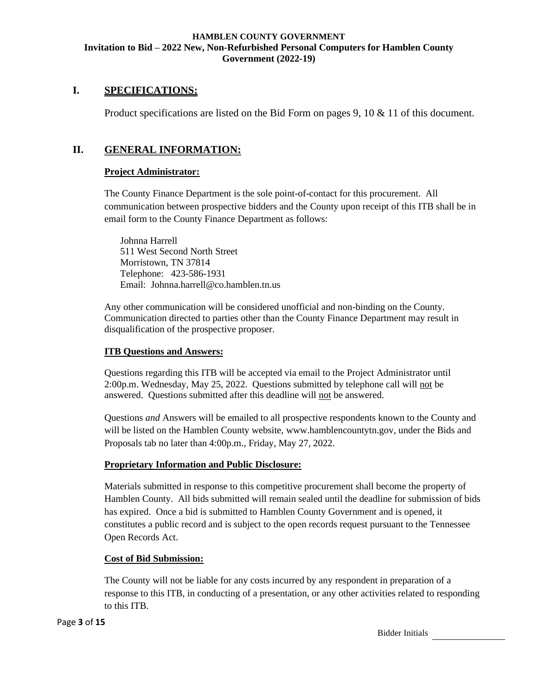## **I. SPECIFICATIONS:**

Product specifications are listed on the Bid Form on pages 9, 10 & 11 of this document.

## **II. GENERAL INFORMATION:**

### **Project Administrator:**

The County Finance Department is the sole point-of-contact for this procurement. All communication between prospective bidders and the County upon receipt of this ITB shall be in email form to the County Finance Department as follows:

Johnna Harrell 511 West Second North Street Morristown, TN 37814 Telephone: 423-586-1931 Email: [Johnna.harrell@co.hamblen.tn.us](mailto:Johnna.harrell@co.hamblen.tn.us)

Any other communication will be considered unofficial and non-binding on the County. Communication directed to parties other than the County Finance Department may result in disqualification of the prospective proposer.

### **ITB Questions and Answers:**

Questions regarding this ITB will be accepted via email to the Project Administrator until 2:00p.m. Wednesday, May 25, 2022. Questions submitted by telephone call will not be answered. Questions submitted after this deadline will not be answered.

Questions *and* Answers will be emailed to all prospective respondents known to the County and will be listed on the Hamblen County website, www.hamblencountytn.gov, under the Bids and Proposals tab no later than 4:00p.m., Friday, May 27, 2022.

#### **Proprietary Information and Public Disclosure:**

Materials submitted in response to this competitive procurement shall become the property of Hamblen County. All bids submitted will remain sealed until the deadline for submission of bids has expired. Once a bid is submitted to Hamblen County Government and is opened, it constitutes a public record and is subject to the open records request pursuant to the Tennessee Open Records Act.

#### **Cost of Bid Submission:**

The County will not be liable for any costs incurred by any respondent in preparation of a response to this ITB, in conducting of a presentation, or any other activities related to responding to this ITB.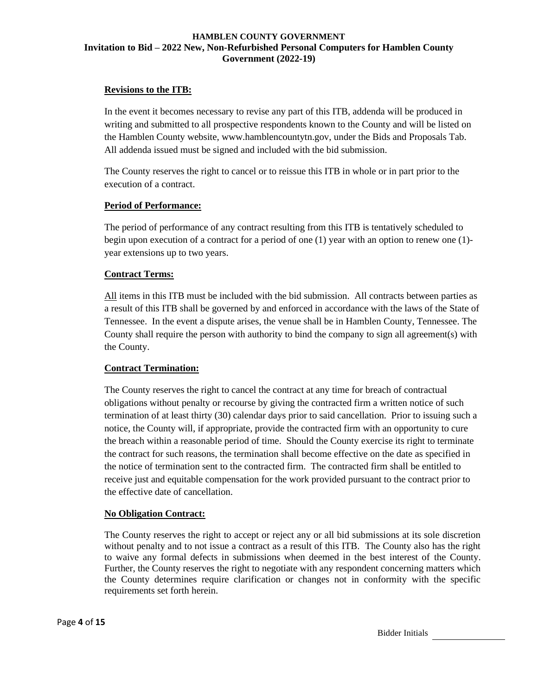### **Revisions to the ITB:**

In the event it becomes necessary to revise any part of this ITB, addenda will be produced in writing and submitted to all prospective respondents known to the County and will be listed on the Hamblen County website, www.hamblencountytn.gov, under the Bids and Proposals Tab. All addenda issued must be signed and included with the bid submission.

The County reserves the right to cancel or to reissue this ITB in whole or in part prior to the execution of a contract.

#### **Period of Performance:**

The period of performance of any contract resulting from this ITB is tentatively scheduled to begin upon execution of a contract for a period of one (1) year with an option to renew one (1) year extensions up to two years.

#### **Contract Terms:**

All items in this ITB must be included with the bid submission. All contracts between parties as a result of this ITB shall be governed by and enforced in accordance with the laws of the State of Tennessee. In the event a dispute arises, the venue shall be in Hamblen County, Tennessee. The County shall require the person with authority to bind the company to sign all agreement(s) with the County.

## **Contract Termination:**

The County reserves the right to cancel the contract at any time for breach of contractual obligations without penalty or recourse by giving the contracted firm a written notice of such termination of at least thirty (30) calendar days prior to said cancellation. Prior to issuing such a notice, the County will, if appropriate, provide the contracted firm with an opportunity to cure the breach within a reasonable period of time. Should the County exercise its right to terminate the contract for such reasons, the termination shall become effective on the date as specified in the notice of termination sent to the contracted firm. The contracted firm shall be entitled to receive just and equitable compensation for the work provided pursuant to the contract prior to the effective date of cancellation.

#### **No Obligation Contract:**

The County reserves the right to accept or reject any or all bid submissions at its sole discretion without penalty and to not issue a contract as a result of this ITB. The County also has the right to waive any formal defects in submissions when deemed in the best interest of the County. Further, the County reserves the right to negotiate with any respondent concerning matters which the County determines require clarification or changes not in conformity with the specific requirements set forth herein.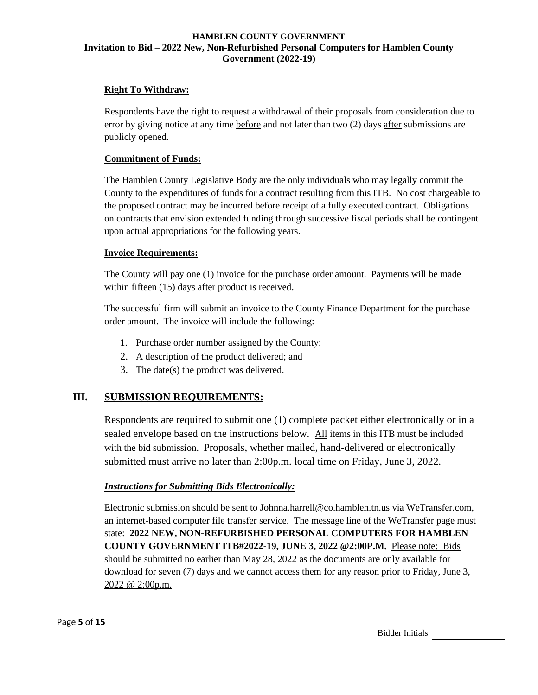## **Right To Withdraw:**

Respondents have the right to request a withdrawal of their proposals from consideration due to error by giving notice at any time before and not later than two (2) days after submissions are publicly opened.

### **Commitment of Funds:**

The Hamblen County Legislative Body are the only individuals who may legally commit the County to the expenditures of funds for a contract resulting from this ITB. No cost chargeable to the proposed contract may be incurred before receipt of a fully executed contract. Obligations on contracts that envision extended funding through successive fiscal periods shall be contingent upon actual appropriations for the following years.

#### **Invoice Requirements:**

The County will pay one (1) invoice for the purchase order amount. Payments will be made within fifteen (15) days after product is received.

The successful firm will submit an invoice to the County Finance Department for the purchase order amount. The invoice will include the following:

- 1. Purchase order number assigned by the County;
- 2. A description of the product delivered; and
- 3. The date(s) the product was delivered.

## **III. SUBMISSION REQUIREMENTS:**

Respondents are required to submit one (1) complete packet either electronically or in a sealed envelope based on the instructions below. All items in this ITB must be included with the bid submission. Proposals, whether mailed, hand-delivered or electronically submitted must arrive no later than 2:00p.m. local time on Friday, June 3, 2022.

## *Instructions for Submitting Bids Electronically:*

Electronic submission should be sent to Johnna.harrell@co.hamblen.tn.us via WeTransfer.com, an internet-based computer file transfer service. The message line of the WeTransfer page must state: **2022 NEW, NON-REFURBISHED PERSONAL COMPUTERS FOR HAMBLEN COUNTY GOVERNMENT ITB#2022-19, JUNE 3, 2022 @2:00P.M.** Please note: Bids should be submitted no earlier than May 28, 2022 as the documents are only available for download for seven (7) days and we cannot access them for any reason prior to Friday, June 3, 2022 @ 2:00p.m.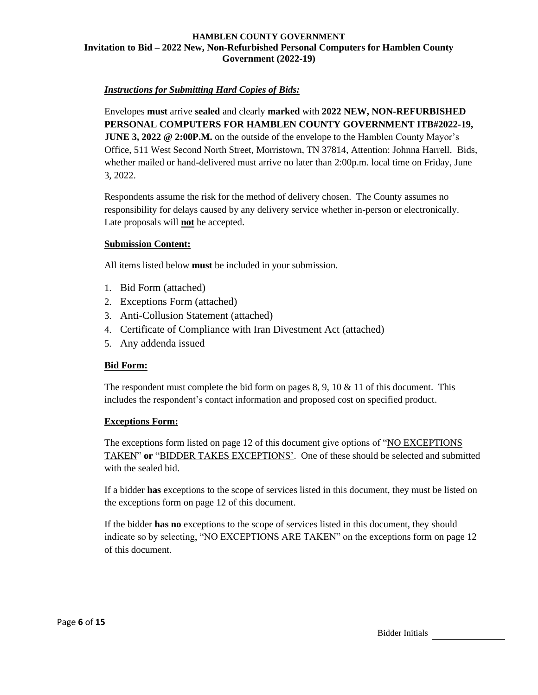## *Instructions for Submitting Hard Copies of Bids:*

Envelopes **must** arrive **sealed** and clearly **marked** with **2022 NEW, NON-REFURBISHED PERSONAL COMPUTERS FOR HAMBLEN COUNTY GOVERNMENT ITB#2022-19, JUNE 3, 2022 @ 2:00P.M.** on the outside of the envelope to the Hamblen County Mayor's Office, 511 West Second North Street, Morristown, TN 37814, Attention: Johnna Harrell. Bids, whether mailed or hand-delivered must arrive no later than 2:00p.m. local time on Friday, June 3, 2022.

Respondents assume the risk for the method of delivery chosen. The County assumes no responsibility for delays caused by any delivery service whether in-person or electronically. Late proposals will **not** be accepted.

#### **Submission Content:**

All items listed below **must** be included in your submission.

- 1. Bid Form (attached)
- 2. Exceptions Form (attached)
- 3. Anti-Collusion Statement (attached)
- 4. Certificate of Compliance with Iran Divestment Act (attached)
- 5. Any addenda issued

## **Bid Form:**

The respondent must complete the bid form on pages 8, 9, 10  $\&$  11 of this document. This includes the respondent's contact information and proposed cost on specified product.

#### **Exceptions Form:**

The exceptions form listed on page 12 of this document give options of "NO EXCEPTIONS" TAKEN" **or** "BIDDER TAKES EXCEPTIONS'. One of these should be selected and submitted with the sealed bid.

If a bidder **has** exceptions to the scope of services listed in this document, they must be listed on the exceptions form on page 12 of this document.

If the bidder **has no** exceptions to the scope of services listed in this document, they should indicate so by selecting, "NO EXCEPTIONS ARE TAKEN" on the exceptions form on page 12 of this document.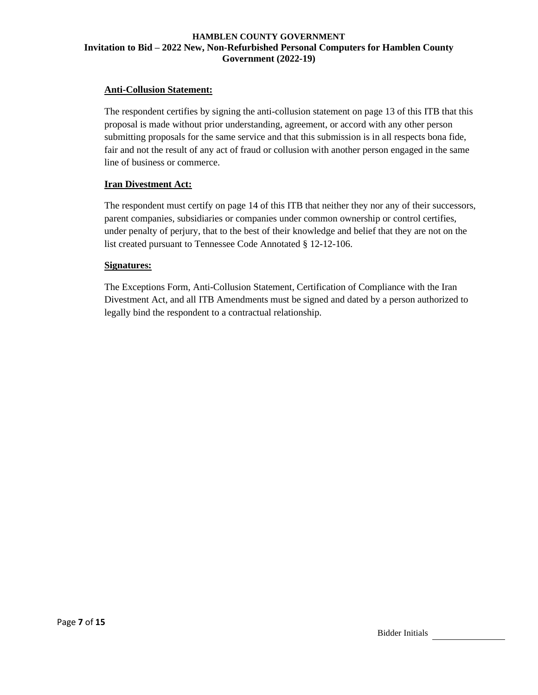### **Anti-Collusion Statement:**

The respondent certifies by signing the anti-collusion statement on page 13 of this ITB that this proposal is made without prior understanding, agreement, or accord with any other person submitting proposals for the same service and that this submission is in all respects bona fide, fair and not the result of any act of fraud or collusion with another person engaged in the same line of business or commerce.

#### **Iran Divestment Act:**

The respondent must certify on page 14 of this ITB that neither they nor any of their successors, parent companies, subsidiaries or companies under common ownership or control certifies, under penalty of perjury, that to the best of their knowledge and belief that they are not on the list created pursuant to Tennessee Code Annotated § 12-12-106.

#### **Signatures:**

The Exceptions Form, Anti-Collusion Statement, Certification of Compliance with the Iran Divestment Act, and all ITB Amendments must be signed and dated by a person authorized to legally bind the respondent to a contractual relationship.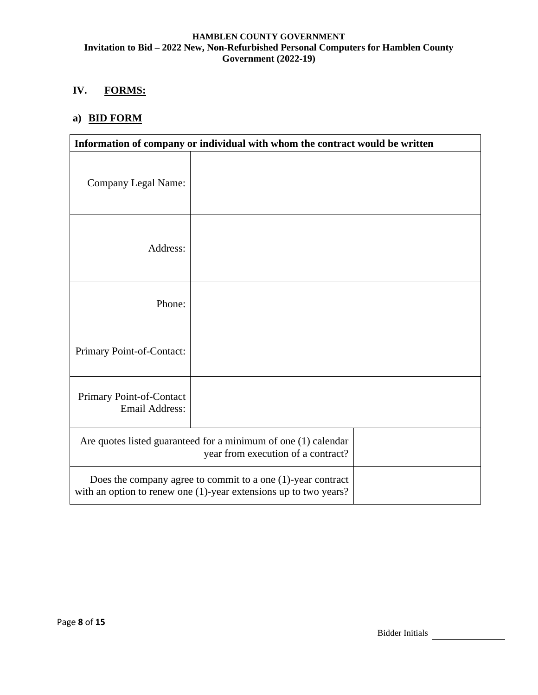## **IV. FORMS:**

# **a) BID FORM**

| Information of company or individual with whom the contract would be written                                                          |  |  |
|---------------------------------------------------------------------------------------------------------------------------------------|--|--|
| Company Legal Name:                                                                                                                   |  |  |
| Address:                                                                                                                              |  |  |
| Phone:                                                                                                                                |  |  |
| Primary Point-of-Contact:                                                                                                             |  |  |
| Primary Point-of-Contact<br><b>Email Address:</b>                                                                                     |  |  |
| Are quotes listed guaranteed for a minimum of one (1) calendar<br>year from execution of a contract?                                  |  |  |
| Does the company agree to commit to a one $(1)$ -year contract<br>with an option to renew one $(1)$ -year extensions up to two years? |  |  |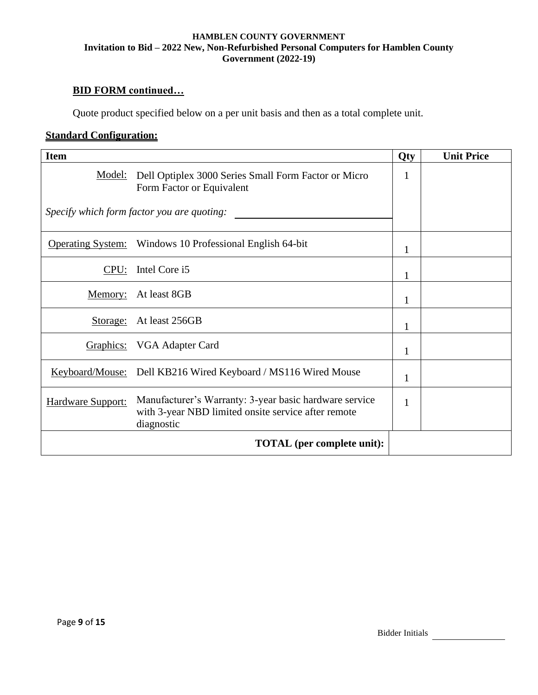# **BID FORM continued…**

Quote product specified below on a per unit basis and then as a total complete unit.

## **Standard Configuration:**

| <b>Item</b>       |                                                                                                                             | Qty | <b>Unit Price</b> |
|-------------------|-----------------------------------------------------------------------------------------------------------------------------|-----|-------------------|
| Model:            | Dell Optiplex 3000 Series Small Form Factor or Micro<br>Form Factor or Equivalent                                           |     |                   |
|                   | Specify which form factor you are quoting:                                                                                  |     |                   |
|                   | Operating System: Windows 10 Professional English 64-bit                                                                    | 1   |                   |
| CPU:              | Intel Core i5                                                                                                               | 1   |                   |
| Memory:           | At least 8GB                                                                                                                | 1   |                   |
| Storage:          | At least 256GB                                                                                                              | 1   |                   |
| Graphics:         | VGA Adapter Card                                                                                                            | 1   |                   |
| Keyboard/Mouse:   | Dell KB216 Wired Keyboard / MS116 Wired Mouse                                                                               | 1   |                   |
| Hardware Support: | Manufacturer's Warranty: 3-year basic hardware service<br>with 3-year NBD limited onsite service after remote<br>diagnostic | 1   |                   |
|                   | <b>TOTAL</b> (per complete unit):                                                                                           |     |                   |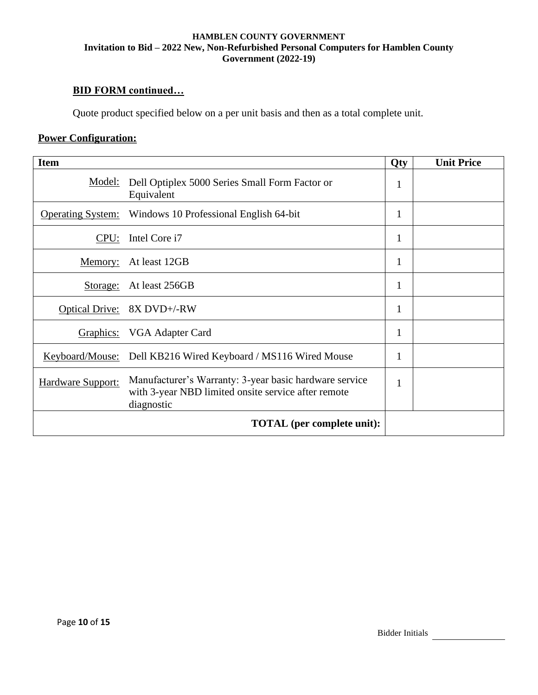# **BID FORM continued…**

Quote product specified below on a per unit basis and then as a total complete unit.

# **Power Configuration:**

| <b>Item</b>              |                                                                                                                             | Qty | <b>Unit Price</b> |
|--------------------------|-----------------------------------------------------------------------------------------------------------------------------|-----|-------------------|
| Model:                   | Dell Optiplex 5000 Series Small Form Factor or<br>Equivalent                                                                | 1   |                   |
| <b>Operating System:</b> | Windows 10 Professional English 64-bit                                                                                      | 1   |                   |
| CPU:                     | Intel Core i7                                                                                                               | 1   |                   |
| Memory:                  | At least 12GB                                                                                                               | 1   |                   |
| Storage:                 | At least 256GB                                                                                                              | 1   |                   |
| <b>Optical Drive:</b>    | 8X DVD+/-RW                                                                                                                 | 1   |                   |
| Graphics:                | VGA Adapter Card                                                                                                            | 1   |                   |
| Keyboard/Mouse:          | Dell KB216 Wired Keyboard / MS116 Wired Mouse                                                                               |     |                   |
| Hardware Support:        | Manufacturer's Warranty: 3-year basic hardware service<br>with 3-year NBD limited onsite service after remote<br>diagnostic | 1   |                   |
|                          | <b>TOTAL</b> (per complete unit):                                                                                           |     |                   |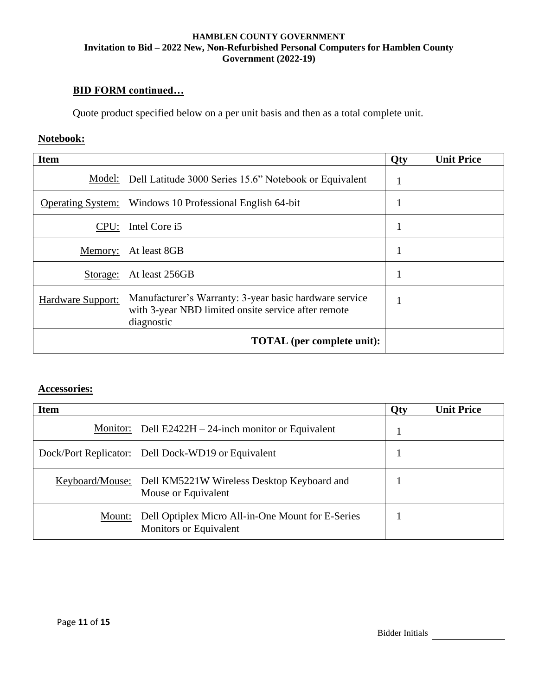# **BID FORM continued…**

Quote product specified below on a per unit basis and then as a total complete unit.

# **Notebook:**

| <b>Item</b>       |                                                                                                                             | <b>Qty</b>   | <b>Unit Price</b> |
|-------------------|-----------------------------------------------------------------------------------------------------------------------------|--------------|-------------------|
| Model:            | Dell Latitude 3000 Series 15.6" Notebook or Equivalent                                                                      | -1           |                   |
|                   | <b>Operating System:</b> Windows 10 Professional English 64-bit                                                             | 1            |                   |
| CPU:              | Intel Core i5                                                                                                               | 1<br>1       |                   |
| Memory:           | At least 8GB                                                                                                                | 1            |                   |
| Storage:          | At least 256GB                                                                                                              | $\mathbf{1}$ |                   |
| Hardware Support: | Manufacturer's Warranty: 3-year basic hardware service<br>with 3-year NBD limited onsite service after remote<br>diagnostic | $\mathbf{1}$ |                   |
|                   | <b>TOTAL</b> (per complete unit):                                                                                           |              |                   |

# **Accessories:**

| <b>Item</b> |                                                                                   | Qty | <b>Unit Price</b> |
|-------------|-----------------------------------------------------------------------------------|-----|-------------------|
|             | <u>Monitor:</u> Dell E2422H $-$ 24-inch monitor or Equivalent                     |     |                   |
|             | Dock/Port Replicator: Dell Dock-WD19 or Equivalent                                |     |                   |
|             | Keyboard/Mouse: Dell KM5221W Wireless Desktop Keyboard and<br>Mouse or Equivalent |     |                   |
| Mount:      | Dell Optiplex Micro All-in-One Mount for E-Series<br>Monitors or Equivalent       |     |                   |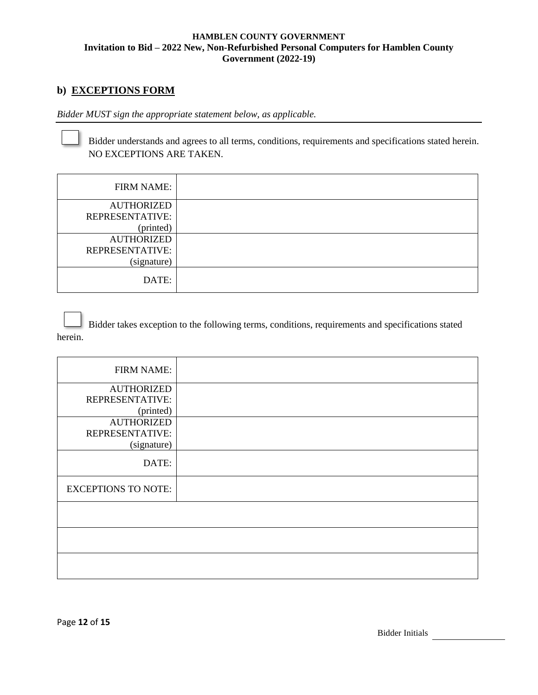# **b) EXCEPTIONS FORM**

*Bidder MUST sign the appropriate statement below, as applicable.*

Bidder understands and agrees to all terms, conditions, requirements and specifications stated herein. NO EXCEPTIONS ARE TAKEN.

| <b>FIRM NAME:</b> |  |
|-------------------|--|
| <b>AUTHORIZED</b> |  |
| REPRESENTATIVE:   |  |
| (printed)         |  |
| <b>AUTHORIZED</b> |  |
| REPRESENTATIVE:   |  |
| (signature)       |  |
| DATE:             |  |

Bidder takes exception to the following terms, conditions, requirements and specifications stated herein.

| <b>FIRM NAME:</b>          |  |
|----------------------------|--|
| <b>AUTHORIZED</b>          |  |
| REPRESENTATIVE:            |  |
| (printed)                  |  |
| <b>AUTHORIZED</b>          |  |
| REPRESENTATIVE:            |  |
| (signature)                |  |
| DATE:                      |  |
| <b>EXCEPTIONS TO NOTE:</b> |  |
|                            |  |
|                            |  |
|                            |  |
|                            |  |
|                            |  |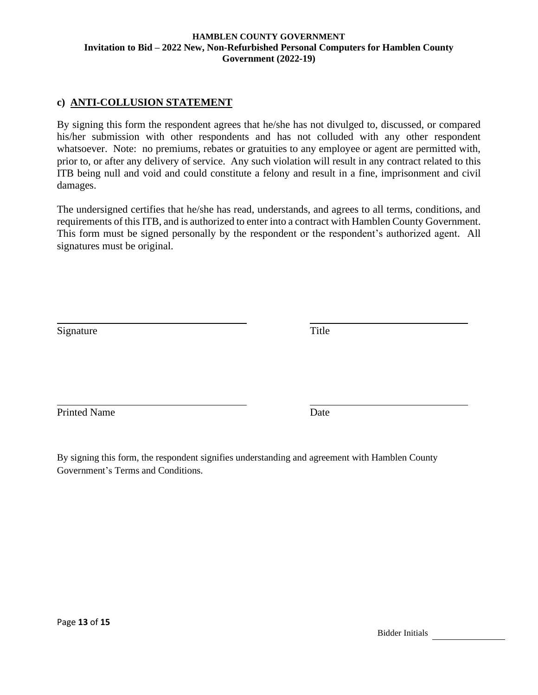## **c) ANTI-COLLUSION STATEMENT**

By signing this form the respondent agrees that he/she has not divulged to, discussed, or compared his/her submission with other respondents and has not colluded with any other respondent whatsoever. Note: no premiums, rebates or gratuities to any employee or agent are permitted with, prior to, or after any delivery of service. Any such violation will result in any contract related to this ITB being null and void and could constitute a felony and result in a fine, imprisonment and civil damages.

The undersigned certifies that he/she has read, understands, and agrees to all terms, conditions, and requirements of this ITB, and is authorized to enter into a contract with Hamblen County Government. This form must be signed personally by the respondent or the respondent's authorized agent. All signatures must be original.

Signature Title

Printed Name Date

By signing this form, the respondent signifies understanding and agreement with Hamblen County Government's Terms and Conditions.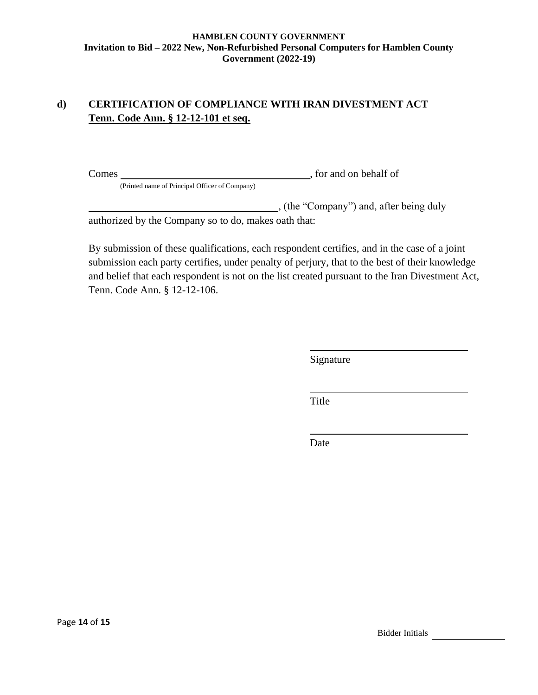# **d) CERTIFICATION OF COMPLIANCE WITH IRAN DIVESTMENT ACT Tenn. Code Ann. § 12-12-101 et seq.**

Comes , for and on behalf of

(Printed name of Principal Officer of Company)

(the "Company") and, after being duly

authorized by the Company so to do, makes oath that:

By submission of these qualifications, each respondent certifies, and in the case of a joint submission each party certifies, under penalty of perjury, that to the best of their knowledge and belief that each respondent is not on the list created pursuant to the Iran Divestment Act, Tenn. Code Ann. § 12-12-106.

Signature

Title

Date